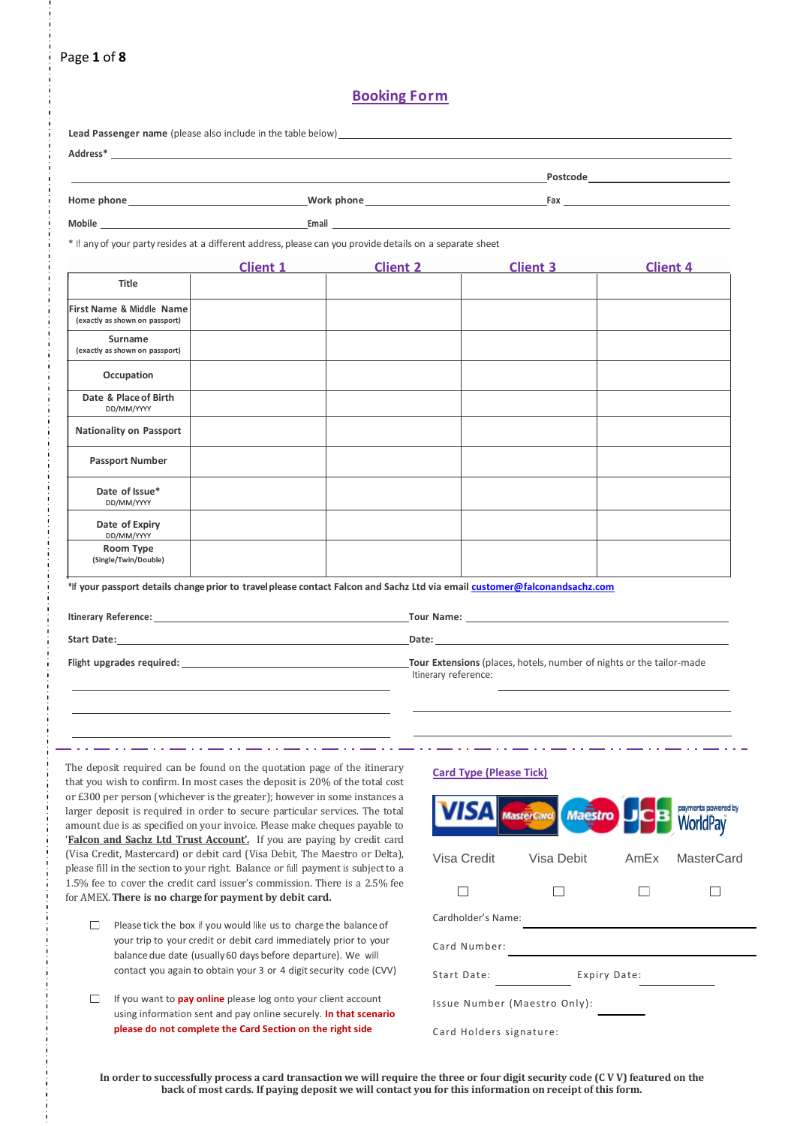# Page **1** of **8**

# **Booking Form**

|                                                                                                           |                                                                                                                  |                                   | <u>Postcode de la provincia de la provincia de la provincia de la provincia de la provincia de la provincia de l</u>                                                                                                           |                 |
|-----------------------------------------------------------------------------------------------------------|------------------------------------------------------------------------------------------------------------------|-----------------------------------|--------------------------------------------------------------------------------------------------------------------------------------------------------------------------------------------------------------------------------|-----------------|
|                                                                                                           |                                                                                                                  |                                   |                                                                                                                                                                                                                                |                 |
|                                                                                                           |                                                                                                                  |                                   | Mobile <b>Example 2020 Example 2020 Example 2020 Email All Example 2020 Email Accord 2020 Email Accord 2020 Email Accord 2020 Email Accord 2020 Email Accord 2020 Email Accord 2020 Email Accord 2020 Emai</b>                 |                 |
| * If any of your party resides at a different address, please can you provide details on a separate sheet |                                                                                                                  |                                   |                                                                                                                                                                                                                                |                 |
|                                                                                                           |                                                                                                                  | <b>Client 1 Client 2 Client 2</b> | Client 3                                                                                                                                                                                                                       | <b>Client 4</b> |
| <b>Title</b>                                                                                              |                                                                                                                  |                                   |                                                                                                                                                                                                                                |                 |
| First Name & Middle Name<br>(exactly as shown on passport)                                                |                                                                                                                  |                                   |                                                                                                                                                                                                                                |                 |
| Surname<br>(exactly as shown on passport)                                                                 |                                                                                                                  |                                   |                                                                                                                                                                                                                                |                 |
| Occupation                                                                                                |                                                                                                                  |                                   |                                                                                                                                                                                                                                |                 |
| Date & Place of Birth<br>DD/MM/YYYY                                                                       |                                                                                                                  |                                   |                                                                                                                                                                                                                                |                 |
| <b>Nationality on Passport</b>                                                                            |                                                                                                                  |                                   |                                                                                                                                                                                                                                |                 |
| <b>Passport Number</b>                                                                                    |                                                                                                                  |                                   |                                                                                                                                                                                                                                |                 |
| Date of Issue*<br>DD/MM/YYYY                                                                              |                                                                                                                  |                                   |                                                                                                                                                                                                                                |                 |
| Date of Expiry<br>DD/MM/YYYY                                                                              |                                                                                                                  |                                   |                                                                                                                                                                                                                                |                 |
| Room Type<br>(Single/Twin/Double)                                                                         |                                                                                                                  |                                   |                                                                                                                                                                                                                                |                 |
|                                                                                                           |                                                                                                                  |                                   | *If your passport details change prior to travel please contact Falcon and Sachz Ltd via email customer@falconandsachz.com                                                                                                     |                 |
|                                                                                                           | Itinerary Reference: National Accounts and Accounts and Accounts and Accounts and Accounts are also accounts and |                                   |                                                                                                                                                                                                                                |                 |
|                                                                                                           |                                                                                                                  |                                   | Date: the contract of the contract of the contract of the contract of the contract of the contract of the contract of the contract of the contract of the contract of the contract of the contract of the contract of the cont |                 |
|                                                                                                           |                                                                                                                  | Itinerary reference:              | <b>Tour Extensions</b> (places, hotels, number of nights or the tailor-made                                                                                                                                                    |                 |

The deposit required can be found on the quotation page of the itinerary that you wish to confirm. In most cases the deposit is 20% of the total cost or £300 per person (whichever is the greater); however in some instances a larger deposit is required in order to secure particular services. The total amount due is as specified on your invoice. Please make cheques payable to '**Falcon and Sachz Ltd Trust Account'.** If you are paying by credit card (Visa Credit, Mastercard) or debit card (Visa Debit, The Maestro or Delta), please fill in the section to your right. Balance or full payment is subject to a 1.5% fee to cover the credit card issuer's commission. There is a 2.5% fee for AMEX.**There is no charge for payment by debit card.**

- 114

- - - -

متراوح والمستردان والمستردان والما

- $\Box$  Please tick the box if you would like us to charge the balance of your trip to your credit or debit card immediately prior to your balance due date (usually60 days before departure). We will contact you again to obtain your 3 or 4 digit security code (CVV)
- If you want to **pay online** please log onto your client account using information sent and pay online securely. **In that scenario please do not complete the Card Section on the right side**

#### **Card Type (Please Tick)**

| <b>VISA</b> Mastercard       |            | <b>Maestro</b> UCB WorldPay | payments powered by |  |
|------------------------------|------------|-----------------------------|---------------------|--|
| Visa Credit                  | Visa Debit | AmEx                        | <b>MasterCard</b>   |  |
|                              |            |                             |                     |  |
| Cardholder's Name:           |            |                             |                     |  |
| Card Number:                 |            |                             |                     |  |
| Start Date:<br>Expiry Date:  |            |                             |                     |  |
| Issue Number (Maestro Only): |            |                             |                     |  |
| Card Holders signature:      |            |                             |                     |  |

**In order to successfully process a card transaction we will require the three or four digit security code (C V V) featured on the back of most cards. If paying deposit we will contact you for this information on receipt of this form.**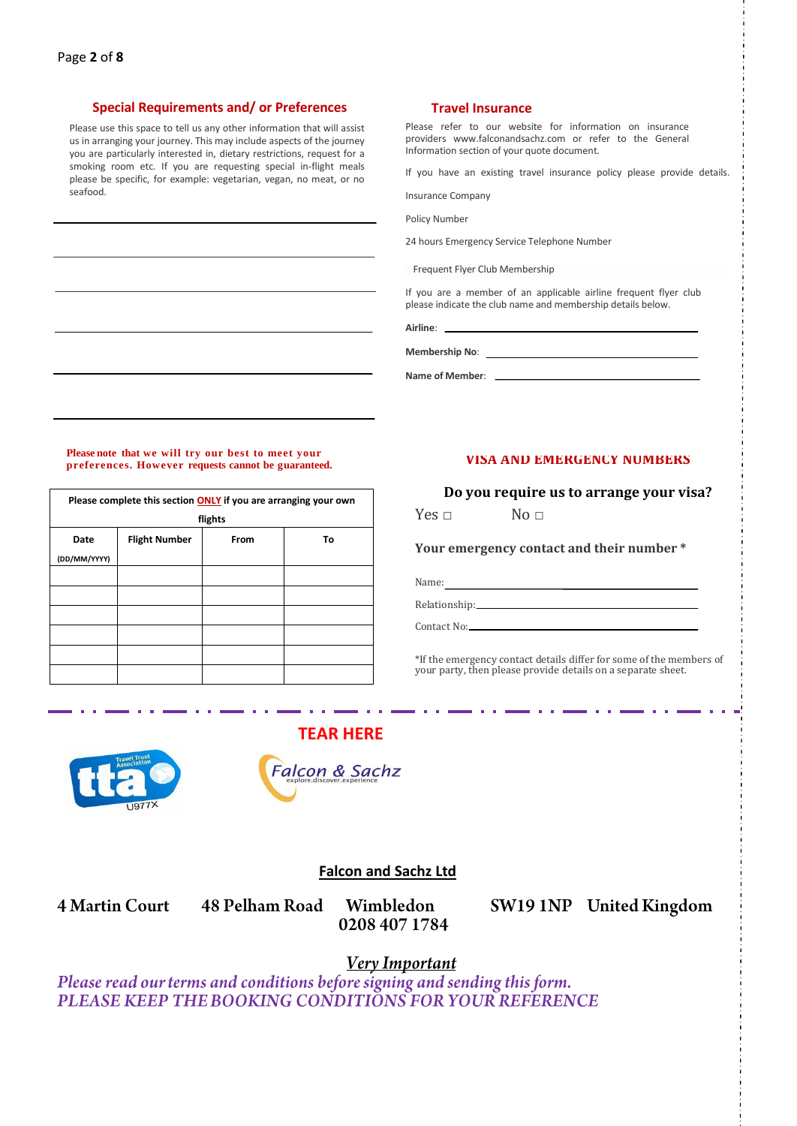# **Special Requirements and/ or Preferences Travel Insurance**

Please use this space to tell us any other information that will assist us in arranging your journey. This may include aspects of the journey you are particularly interested in, dietary restrictions, request for a smoking room etc. If you are requesting special in-flight meals please be specific, for example: vegetarian, vegan, no meat, or no seafood.

Please refer to our website for information on insurance providers [www.falconandsachz.com](http://www.falconandsachz.com/) or refer to the General Information section of your quote document.

If you have an existing travel insurance policy please provide details.

Insurance Company

Policy Number

24 hours Emergency Service Telephone Number

Frequent Flyer Club Membership

If you are a member of an applicable airline frequent flyer club please indicate the club name and membership details below.

**Airline**:

**Membership No**:

**Name of Member**:

## **Please note that we will try our best to meet your preferences. However requests cannot be guaranteed.**

| Please complete this section <b>ONLY</b> if you are arranging your own |                      |      |    |  |  |
|------------------------------------------------------------------------|----------------------|------|----|--|--|
| flights                                                                |                      |      |    |  |  |
| Date                                                                   | <b>Flight Number</b> | From | To |  |  |
| (DD/MM/YYYY)                                                           |                      |      |    |  |  |
|                                                                        |                      |      |    |  |  |
|                                                                        |                      |      |    |  |  |
|                                                                        |                      |      |    |  |  |
|                                                                        |                      |      |    |  |  |
|                                                                        |                      |      |    |  |  |
|                                                                        |                      |      |    |  |  |

# **VISA AND EMERGENCY NUMBERS**

# **Do you require us to arrange your visa?**

 $Yes \Box$  No  $\Box$ 

**Your emergency contact and their number \***

Name:

Relationship:

Contact No:

\*If the emergency contact details differ for some of the members of your party, then please provide details on a separate sheet.



# **TEAR HERE**



**Falcon and Sachz Ltd**

**4 Martin Court** 

48 Pelham Road

**Wimbledon** 0208 407 1784 SW19 1NP United Kingdom

*<u>Very Important</u>*<br>Please read our terms and conditions before signing and sending this form. **PLEASE KEEP THE BOOKING CONDITIONS FOR YOUR REFERENCE**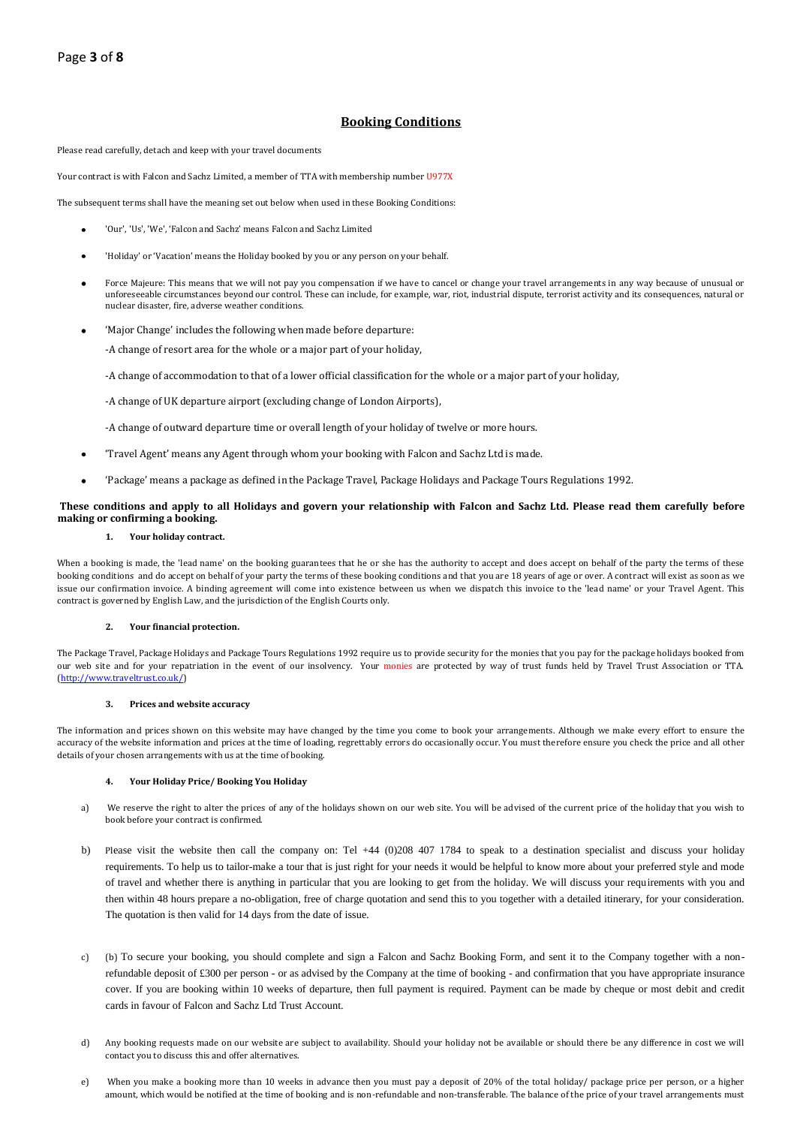# **Booking Conditions**

Please read carefully, detach and keep with your travel documents

Your contract is with Falcon and Sachz Limited, a member of TTA with membership number U977X

The subsequent terms shall have the meaning set out below when used in these Booking Conditions:

- 'Our', 'Us', 'We', 'Falcon and Sachz' means Falcon and Sachz Limited
- 'Holiday' or 'Vacation' means the Holiday booked by you or any person on your behalf.
- Force Majeure: This means that we will not pay you compensation if we have to cancel or change your travel arrangements in any way because of unusual or unforeseeable circumstances beyond our control. These can include, for example, war, riot, industrial dispute, terrorist activity and its consequences, natural or nuclear disaster, fire, adverse weather conditions.
- 'Major Change' includes the following when made before departure:

-A change of resort area for the whole or a major part of your holiday,

-A change of accommodation to that of a lower official classification for the whole or a major part of your holiday,

-A change of UK departure airport (excluding change of London Airports),

-A change of outward departure time or overall length of your holiday of twelve or more hours.

- 'Travel Agent' means any Agent through whom your booking with Falcon and Sachz Ltd is made.
- 'Package' means a package as defined in the Package Travel, Package Holidays and Package Tours Regulations 1992.

# **These conditions and apply to all Holidays and govern your relationship with Falcon and Sachz Ltd. Please read them carefully before making or confirming a booking.**

## **1. Your holiday contract.**

When a booking is made, the 'lead name' on the booking guarantees that he or she has the authority to accept and does accept on behalf of the party the terms of these booking conditions and do accept on behalf of your party the terms of these booking conditions and that you are 18 years of age or over. A contract will exist as soon as we issue our confirmation invoice. A binding agreement will come into existence between us when we dispatch this invoice to the 'lead name' or your Travel Agent. This contract is governed by English Law, and the jurisdiction of the English Courts only.

#### **2. Your financial protection.**

The Package Travel, Package Holidays and Package Tours Regulations 1992 require us to provide security for the monies that you pay for the package holidays booked from our web site and for your repatriation in the event of our insolvency. Your monies are protected by way of trust funds held by Travel Trust Association or TTA. [\(http://www.traveltrust.co.uk/\)](http://www.traveltrust.co.uk/)

#### **3. Prices and website accuracy**

The information and prices shown on this website may have changed by the time you come to book your arrangements. Although we make every effort to ensure the accuracy of the website information and prices at the time of loading, regrettably errors do occasionally occur. You must therefore ensure you check the price and all other details of your chosen arrangements with us at the time of booking.

#### **4. Your Holiday Price/ Booking You Holiday**

- a) We reserve the right to alter the prices of any of the holidays shown on our web site. You will be advised of the current price of the holiday that you wish to book before your contract is confirmed.
- b) Please visit the website then call the company on: Tel +44 (0)208 407 1784 to speak to a destination specialist and discuss your holiday requirements. To help us to tailor-make a tour that is just right for your needs it would be helpful to know more about your preferred style and mode of travel and whether there is anything in particular that you are looking to get from the holiday. We will discuss your requirements with you and then within 48 hours prepare a no-obligation, free of charge quotation and send this to you together with a detailed itinerary, for your consideration. The quotation is then valid for 14 days from the date of issue.
- c) (b) To secure your booking, you should complete and sign a Falcon and Sachz Booking Form, and sent it to the Company together with a nonrefundable deposit of £300 per person - or as advised by the Company at the time of booking - and confirmation that you have appropriate insurance cover. If you are booking within 10 weeks of departure, then full payment is required. Payment can be made by cheque or most debit and credit cards in favour of Falcon and Sachz Ltd Trust Account.
- d) Any booking requests made on our website are subject to availability. Should your holiday not be available or should there be any difference in cost we will contact you to discuss this and offer alternatives.
- e) When you make a booking more than 10 weeks in advance then you must pay a deposit of 20% of the total holiday/ package price per person, or a higher amount, which would be notified at the time of booking and is non-refundable and non-transferable. The balance of the price of your travel arrangements must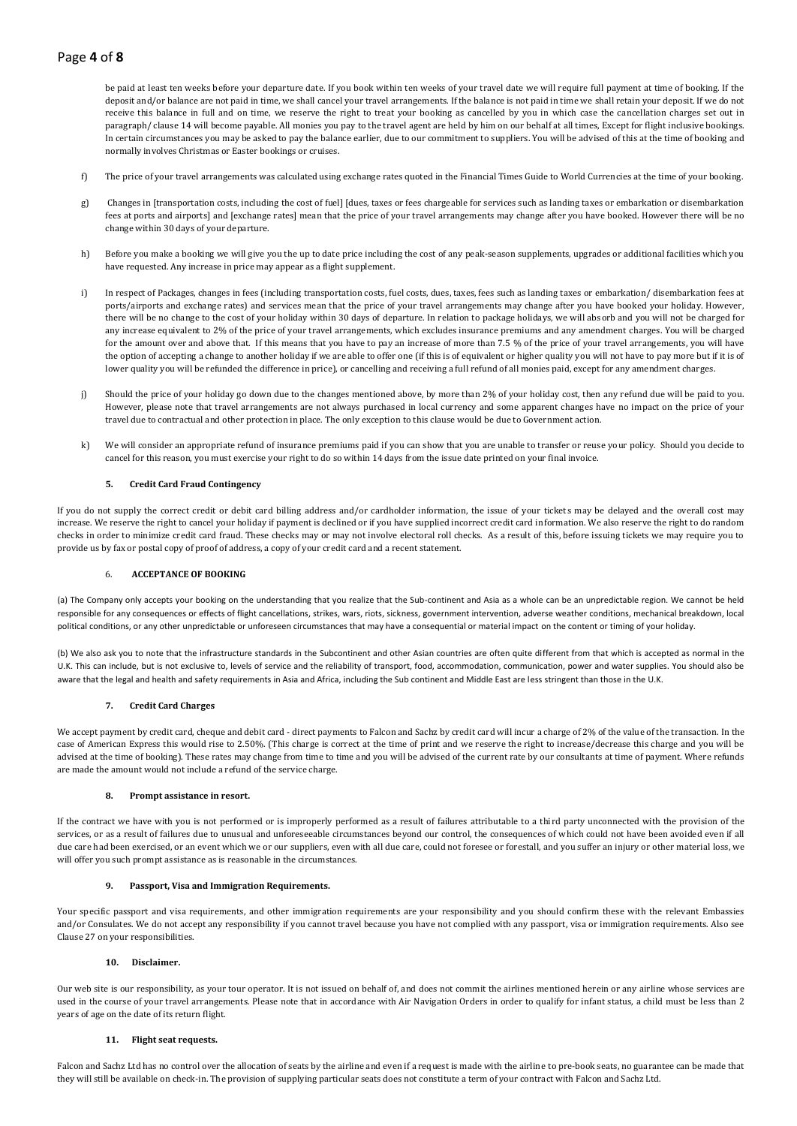be paid at least ten weeks before your departure date. If you book within ten weeks of your travel date we will require full payment at time of booking. If the deposit and/or balance are not paid in time, we shall cancel your travel arrangements. If the balance is not paid in time we shall retain your deposit. If we do not receive this balance in full and on time, we reserve the right to treat your booking as cancelled by you in which case the cancellation charges set out in paragraph/ clause 14 will become payable. All monies you pay to the travel agent are held by him on our behalf at all times, Except for flight inclusive bookings. In certain circumstances you may be asked to pay the balance earlier, due to our commitment to suppliers. You will be advised of this at the time of booking and normally involves Christmas or Easter bookings or cruises.

- f) The price of your travel arrangements was calculated using exchange rates quoted in the Financial Times Guide to World Currencies at the time of your booking.
- g) Changes in [transportation costs, including the cost of fuel] [dues, taxes or fees chargeable for services such as landing taxes or embarkation or disembarkation fees at ports and airports] and [exchange rates] mean that the price of your travel arrangements may change after you have booked. However there will be no change within 30 days of your departure.
- h) Before you make a booking we will give you the up to date price including the cost of any peak-season supplements, upgrades or additional facilities which you have requested. Any increase in price may appear as a flight supplement.
- i) In respect of Packages, changes in fees (including transportation costs, fuel costs, dues, taxes, fees such as landing taxes or embarkation/ disembarkation fees at ports/airports and exchange rates) and services mean that the price of your travel arrangements may change after you have booked your holiday. However, there will be no change to the cost of your holiday within 30 days of departure. In relation to package holidays, we will absorb and you will not be charged for any increase equivalent to 2% of the price of your travel arrangements, which excludes insurance premiums and any amendment charges. You will be charged for the amount over and above that. If this means that you have to pay an increase of more than 7.5 % of the price of your travel arrangements, you will have the option of accepting a change to another holiday if we are able to offer one (if this is of equivalent or higher quality you will not have to pay more but if it is of lower quality you will be refunded the difference in price), or cancelling and receiving a full refund of all monies paid, except for any amendment charges.
- j) Should the price of your holiday go down due to the changes mentioned above, by more than 2% of your holiday cost, then any refund due will be paid to you. However, please note that travel arrangements are not always purchased in local currency and some apparent changes have no impact on the price of your travel due to contractual and other protection in place. The only exception to this clause would be due to Government action.
- We will consider an appropriate refund of insurance premiums paid if you can show that you are unable to transfer or reuse your policy. Should you decide to cancel for this reason, you must exercise your right to do so within 14 days from the issue date printed on your final invoice.

# **5. Credit Card Fraud Contingency**

If you do not supply the correct credit or debit card billing address and/or cardholder information, the issue of your tickets may be delayed and the overall cost may increase. We reserve the right to cancel your holiday if payment is declined or if you have supplied incorrect credit card information. We also reserve the right to do random checks in order to minimize credit card fraud. These checks may or may not involve electoral roll checks. As a result of this, before issuing tickets we may require you to provide us by fax or postal copy of proof of address, a copy of your credit card and a recent statement.

## 6. **ACCEPTANCE OF BOOKING**

(a) The Company only accepts your booking on the understanding that you realize that the Sub-continent and Asia as a whole can be an unpredictable region. We cannot be held responsible for any consequences or effects of flight cancellations, strikes, wars, riots, sickness, government intervention, adverse weather conditions, mechanical breakdown, local political conditions, or any other unpredictable or unforeseen circumstances that may have a consequential or material impact on the content or timing of your holiday.

(b) We also ask you to note that the infrastructure standards in the Subcontinent and other Asian countries are often quite different from that which is accepted as normal in the U.K. This can include, but is not exclusive to, levels of service and the reliability of transport, food, accommodation, communication, power and water supplies. You should also be aware that the legal and health and safety requirements in Asia and Africa, including the Sub continent and Middle East are less stringent than those in the U.K.

## **7. Credit Card Charges**

We accept payment by credit card, cheque and debit card - direct payments to Falcon and Sachz by credit card will incur a charge of 2% of the value of the transaction. In the case of American Express this would rise to 2.50%. (This charge is correct at the time of print and we reserve the right to increase/decrease this charge and you will be advised at the time of booking). These rates may change from time to time and you will be advised of the current rate by our consultants at time of payment. Where refunds are made the amount would not include a refund of the service charge.

# **8. Prompt assistance in resort.**

If the contract we have with you is not performed or is improperly performed as a result of failures attributable to a third party unconnected with the provision of the services, or as a result of failures due to unusual and unforeseeable circumstances beyond our control, the consequences of which could not have been avoided even if all due care had been exercised, or an event which we or our suppliers, even with all due care, could not foresee or forestall, and you suffer an injury or other material loss, we will offer you such prompt assistance as is reasonable in the circumstances.

## **9. Passport, Visa and Immigration Requirements.**

Your specific passport and visa requirements, and other immigration requirements are your responsibility and you should confirm these with the relevant Embassies and/or Consulates. We do not accept any responsibility if you cannot travel because you have not complied with any passport, visa or immigration requirements. Also see Clause 27 on your responsibilities.

## **10. Disclaimer.**

Our web site is our responsibility, as your tour operator. It is not issued on behalf of, and does not commit the airlines mentioned herein or any airline whose services are used in the course of your travel arrangements. Please note that in accordance with Air Navigation Orders in order to qualify for infant status, a child must be less than 2 years of age on the date of its return flight.

## **11. Flight seat requests.**

Falcon and Sachz Ltd has no control over the allocation of seats by the airline and even if a request is made with the airline to pre-book seats, no guarantee can be made that they will still be available on check-in. The provision of supplying particular seats does not constitute a term of your contract with Falcon and Sachz Ltd.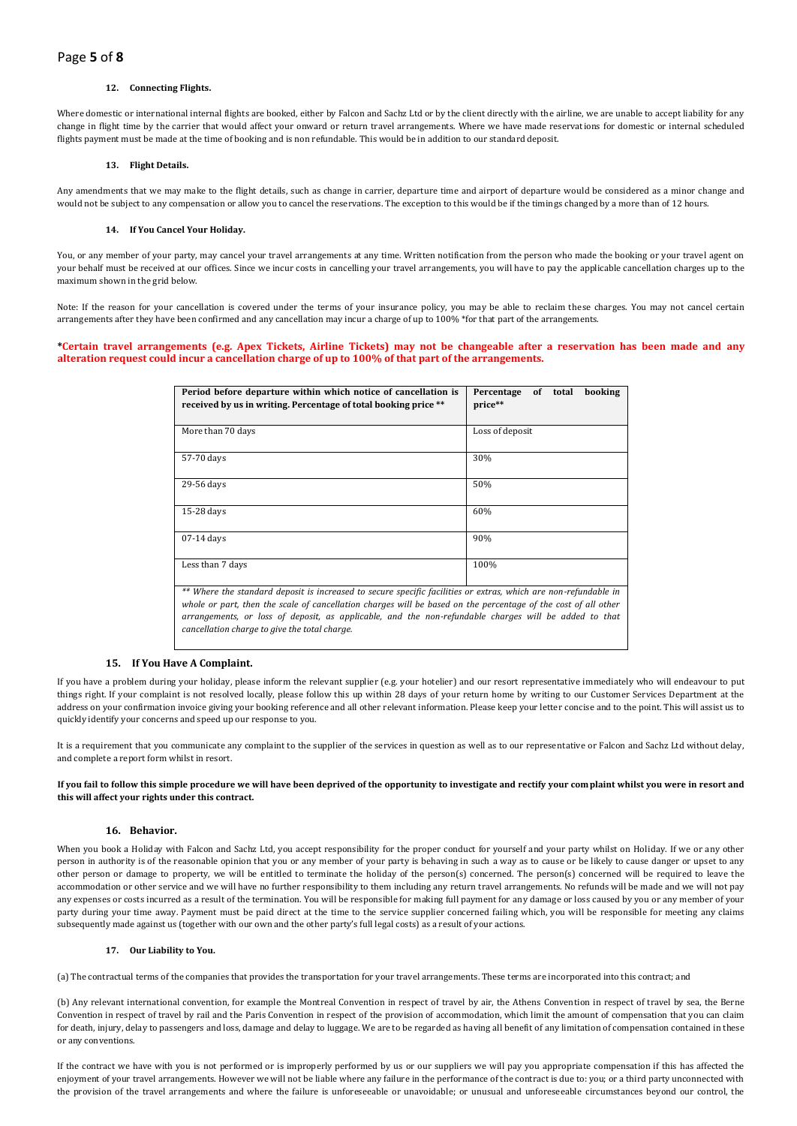#### **12. Connecting Flights.**

Where domestic or international internal flights are booked, either by Falcon and Sachz Ltd or by the client directly with the airline, we are unable to accept liability for any change in flight time by the carrier that would affect your onward or return travel arrangements. Where we have made reservations for domestic or internal scheduled flights payment must be made at the time of booking and is non refundable. This would be in addition to our standard deposit.

#### **13. Flight Details.**

Any amendments that we may make to the flight details, such as change in carrier, departure time and airport of departure would be considered as a minor change and would not be subject to any compensation or allow you to cancel the reservations. The exception to this would be if the timings changed by a more than of 12 hours.

#### **14. If You Cancel Your Holiday.**

You, or any member of your party, may cancel your travel arrangements at any time. Written notification from the person who made the booking or your travel agent on your behalf must be received at our offices. Since we incur costs in cancelling your travel arrangements, you will have to pay the applicable cancellation charges up to the maximum shown in the grid below.

Note: If the reason for your cancellation is covered under the terms of your insurance policy, you may be able to reclaim these charges. You may not cancel certain arrangements after they have been confirmed and any cancellation may incur a charge of up to 100% \*for that part of the arrangements.

### **\*Certain travel arrangements (e.g. Apex Tickets, Airline Tickets) may not be changeable after a reservation has been made and any alteration request could incur a cancellation charge of up to 100% of that part of the arrangements.**

| Period before departure within which notice of cancellation is<br>received by us in writing. Percentage of total booking price **                                                                                                                                                                                                                                                           | of<br>Percentage<br>booking<br>total<br>price** |
|---------------------------------------------------------------------------------------------------------------------------------------------------------------------------------------------------------------------------------------------------------------------------------------------------------------------------------------------------------------------------------------------|-------------------------------------------------|
| More than 70 days                                                                                                                                                                                                                                                                                                                                                                           | Loss of deposit                                 |
| 57-70 days                                                                                                                                                                                                                                                                                                                                                                                  | 30%                                             |
| 29-56 days                                                                                                                                                                                                                                                                                                                                                                                  | 50%                                             |
| $15-28$ days                                                                                                                                                                                                                                                                                                                                                                                | 60%                                             |
| $07-14$ days                                                                                                                                                                                                                                                                                                                                                                                | 90%                                             |
| Less than 7 days                                                                                                                                                                                                                                                                                                                                                                            | 100%                                            |
| ** Where the standard deposit is increased to secure specific facilities or extras, which are non-refundable in<br>whole or part, then the scale of cancellation charges will be based on the percentage of the cost of all other<br>arrangements, or loss of deposit, as applicable, and the non-refundable charges will be added to that<br>cancellation charge to give the total charge. |                                                 |

## **15. If You Have A Complaint.**

If you have a problem during your holiday, please inform the relevant supplier (e.g. your hotelier) and our resort representative immediately who will endeavour to put things right. If your complaint is not resolved locally, please follow this up within 28 days of your return home by writing to our Customer Services Department at the address on your confirmation invoice giving your booking reference and all other relevant information. Please keep your letter concise and to the point. This will assist us to quickly identify your concerns and speed up our response to you.

It is a requirement that you communicate any complaint to the supplier of the services in question as well as to our representative or Falcon and Sachz Ltd without delay, and complete a report form whilst in resort.

#### **If you fail to follow this simple procedure we will have been deprived of the opportunity to investigate and rectify your complaint whilst you were in resort and this will affect your rights under this contract.**

#### **16. Behavior.**

When you book a Holiday with Falcon and Sachz Ltd, you accept responsibility for the proper conduct for yourself and your party whilst on Holiday. If we or any other person in authority is of the reasonable opinion that you or any member of your party is behaving in such a way as to cause or be likely to cause danger or upset to any other person or damage to property, we will be entitled to terminate the holiday of the person(s) concerned. The person(s) concerned will be required to leave the accommodation or other service and we will have no further responsibility to them including any return travel arrangements. No refunds will be made and we will not pay any expenses or costs incurred as a result of the termination. You will be responsible for making full payment for any damage or loss caused by you or any member of your party during your time away. Payment must be paid direct at the time to the service supplier concerned failing which, you will be responsible for meeting any claims subsequently made against us (together with our own and the other party's full legal costs) as a result of your actions.

#### **17. Our Liability to You.**

(a) The contractual terms of the companies that provides the transportation for your travel arrangements. These terms are incorporated into this contract; and

(b) Any relevant international convention, for example the Montreal Convention in respect of travel by air, the Athens Convention in respect of travel by sea, the Berne Convention in respect of travel by rail and the Paris Convention in respect of the provision of accommodation, which limit the amount of compensation that you can claim for death, injury, delay to passengers and loss, damage and delay to luggage. We are to be regarded as having all benefit of any limitation of compensation contained in these or any conventions.

If the contract we have with you is not performed or is improperly performed by us or our suppliers we will pay you appropriate compensation if this has affected the enjoyment of your travel arrangements. However we will not be liable where any failure in the performance of the contract is due to: you; or a third party unconnected with the provision of the travel arrangements and where the failure is unforeseeable or unavoidable; or unusual and unforeseeable circumstances beyond our control, the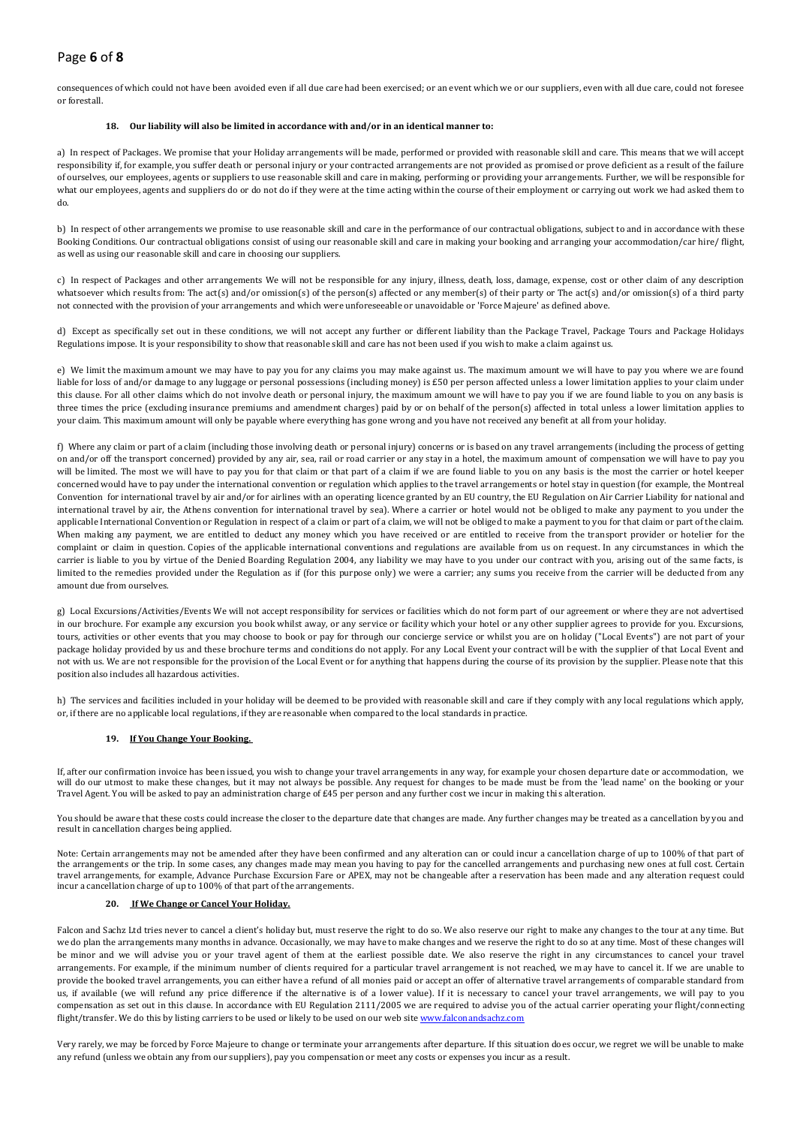consequences of which could not have been avoided even if all due care had been exercised; or an event which we or our suppliers, even with all due care, could not foresee or forestall.

#### **18. Our liability will also be limited in accordance with and/or in an identical manner to:**

a) In respect of Packages. We promise that your Holiday arrangements will be made, performed or provided with reasonable skill and care. This means that we will accept responsibility if, for example, you suffer death or personal injury or your contracted arrangements are not provided as promised or prove deficient as a result of the failure of ourselves, our employees, agents or suppliers to use reasonable skill and care in making, performing or providing your arrangements. Further, we will be responsible for what our employees, agents and suppliers do or do not do if they were at the time acting within the course of their employment or carrying out work we had asked them to do.

b) In respect of other arrangements we promise to use reasonable skill and care in the performance of our contractual obligations, subject to and in accordance with these Booking Conditions. Our contractual obligations consist of using our reasonable skill and care in making your booking and arranging your accommodation/car hire/ flight, as well as using our reasonable skill and care in choosing our suppliers.

c) In respect of Packages and other arrangements We will not be responsible for any injury, illness, death, loss, damage, expense, cost or other claim of any description whatsoever which results from: The act(s) and/or omission(s) of the person(s) affected or any member(s) of their party or The act(s) and/or omission(s) of a third party not connected with the provision of your arrangements and which were unforeseeable or unavoidable or 'Force Majeure' as defined above.

d) Except as specifically set out in these conditions, we will not accept any further or different liability than the Package Travel, Package Tours and Package Holidays Regulations impose. It is your responsibility to show that reasonable skill and care has not been used if you wish to make a claim against us.

e) We limit the maximum amount we may have to pay you for any claims you may make against us. The maximum amount we will have to pay you where we are found liable for loss of and/or damage to any luggage or personal possessions (including money) is £50 per person affected unless a lower limitation applies to your claim under this clause. For all other claims which do not involve death or personal injury, the maximum amount we will have to pay you if we are found liable to you on any basis is three times the price (excluding insurance premiums and amendment charges) paid by or on behalf of the person(s) affected in total unless a lower limitation applies to your claim. This maximum amount will only be payable where everything has gone wrong and you have not received any benefit at all from your holiday.

f) Where any claim or part of a claim (including those involving death or personal injury) concerns or is based on any travel arrangements (including the process of getting on and/or off the transport concerned) provided by any air, sea, rail or road carrier or any stay in a hotel, the maximum amount of compensation we will have to pay you will be limited. The most we will have to pay you for that claim or that part of a claim if we are found liable to you on any basis is the most the carrier or hotel keeper concerned would have to pay under the international convention or regulation which applies to the travel arrangements or hotel stay in question (for example, the Montreal Convention for international travel by air and/or for airlines with an operating licence granted by an EU country, the EU Regulation on Air Carrier Liability for national and international travel by air, the Athens convention for international travel by sea). Where a carrier or hotel would not be obliged to make any payment to you under the applicable International Convention or Regulation in respect of a claim or part of a claim, we will not be obliged to make a payment to you for that claim or part of the claim. When making any payment, we are entitled to deduct any money which you have received or are entitled to receive from the transport provider or hotelier for the complaint or claim in question. Copies of the applicable international conventions and regulations are available from us on request. In any circumstances in which the carrier is liable to you by virtue of the Denied Boarding Regulation 2004, any liability we may have to you under our contract with you, arising out of the same facts, is limited to the remedies provided under the Regulation as if (for this purpose only) we were a carrier; any sums you receive from the carrier will be deducted from any amount due from ourselves.

g) Local Excursions/Activities/Events We will not accept responsibility for services or facilities which do not form part of our agreement or where they are not advertised in our brochure. For example any excursion you book whilst away, or any service or facility which your hotel or any other supplier agrees to provide for you. Excursions, tours, activities or other events that you may choose to book or pay for through our concierge service or whilst you are on holiday ("Local Events") are not part of your package holiday provided by us and these brochure terms and conditions do not apply. For any Local Event your contract will be with the supplier of that Local Event and not with us. We are not responsible for the provision of the Local Event or for anything that happens during the course of its provision by the supplier. Please note that this position also includes all hazardous activities.

h) The services and facilities included in your holiday will be deemed to be provided with reasonable skill and care if they comply with any local regulations which apply, or, if there are no applicable local regulations, if they are reasonable when compared to the local standards in practice.

## **19. If You Change Your Booking.**

If, after our confirmation invoice has been issued, you wish to change your travel arrangements in any way, for example your chosen departure date or accommodation, we will do our utmost to make these changes, but it may not always be possible. Any request for changes to be made must be from the 'lead name' on the booking or your Travel Agent. You will be asked to pay an administration charge of £45 per person and any further cost we incur in making this alteration.

You should be aware that these costs could increase the closer to the departure date that changes are made. Any further changes may be treated as a cancellation by you and result in cancellation charges being applied.

Note: Certain arrangements may not be amended after they have been confirmed and any alteration can or could incur a cancellation charge of up to 100% of that part of the arrangements or the trip. In some cases, any changes made may mean you having to pay for the cancelled arrangements and purchasing new ones at full cost. Certain travel arrangements, for example, Advance Purchase Excursion Fare or APEX, may not be changeable after a reservation has been made and any alteration request could incur a cancellation charge of up to 100% of that part of the arrangements.

#### **20. If We Change or Cancel Your Holiday.**

Falcon and Sachz Ltd tries never to cancel a client's holiday but, must reserve the right to do so. We also reserve our right to make any changes to the tour at any time. But we do plan the arrangements many months in advance. Occasionally, we may have to make changes and we reserve the right to do so at any time. Most of these changes will be minor and we will advise you or your travel agent of them at the earliest possible date. We also reserve the right in any circumstances to cancel your travel arrangements. For example, if the minimum number of clients required for a particular travel arrangement is not reached, we may have to cancel it. If we are unable to provide the booked travel arrangements, you can either have a refund of all monies paid or accept an offer of alternative travel arrangements of comparable standard from us, if available (we will refund any price difference if the alternative is of a lower value). If it is necessary to cancel your travel arrangements, we will pay to you compensation as set out in this clause. In accordance with EU Regulation 2111/2005 we are required to advise you of the actual carrier operating your flight/connecting flight/transfer. We do this by listing carriers to be used or likely to be used on our web sit[e www.falconandsachz.com](http://www.falconandsachz.com/)

Very rarely, we may be forced by Force Majeure to change or terminate your arrangements after departure. If this situation does occur, we regret we will be unable to make any refund (unless we obtain any from our suppliers), pay you compensation or meet any costs or expenses you incur as a result.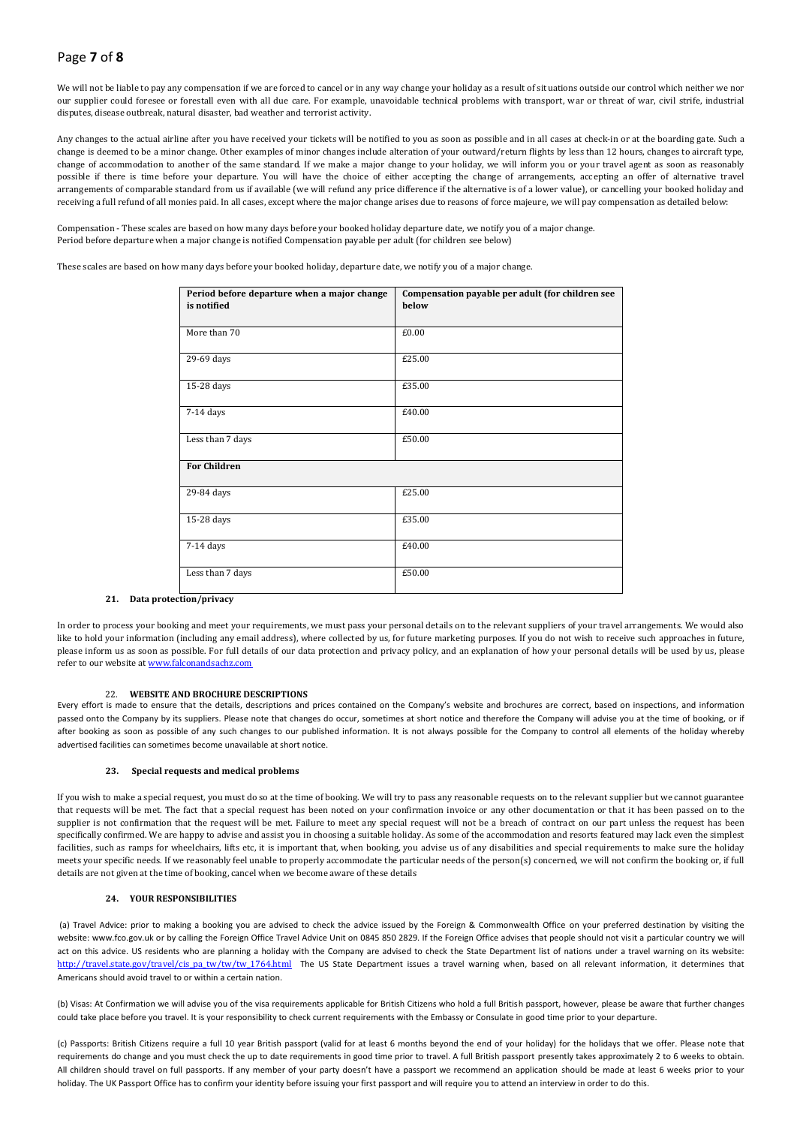We will not be liable to pay any compensation if we are forced to cancel or in any way change your holiday as a result of situations outside our control which neither we nor our supplier could foresee or forestall even with all due care. For example, unavoidable technical problems with transport, war or threat of war, civil strife, industrial disputes, disease outbreak, natural disaster, bad weather and terrorist activity.

Any changes to the actual airline after you have received your tickets will be notified to you as soon as possible and in all cases at check-in or at the boarding gate. Such a change is deemed to be a minor change. Other examples of minor changes include alteration of your outward/return flights by less than 12 hours, changes to aircraft type, change of accommodation to another of the same standard. If we make a major change to your holiday, we will inform you or your travel agent as soon as reasonably possible if there is time before your departure. You will have the choice of either accepting the change of arrangements, accepting an offer of alternative travel arrangements of comparable standard from us if available (we will refund any price difference if the alternative is of a lower value), or cancelling your booked holiday and receiving a full refund of all monies paid. In all cases, except where the major change arises due to reasons of force majeure, we will pay compensation as detailed below:

Compensation - These scales are based on how many days before your booked holiday departure date, we notify you of a major change. Period before departure when a major change is notified Compensation payable per adult (for children see below)

These scales are based on how many days before your booked holiday, departure date, we notify you of a major change.

| Period before departure when a major change<br>is notified | Compensation payable per adult (for children see<br>below |  |
|------------------------------------------------------------|-----------------------------------------------------------|--|
|                                                            |                                                           |  |
| More than 70                                               | £0.00                                                     |  |
| 29-69 days                                                 | £25.00                                                    |  |
| 15-28 days                                                 | £35.00                                                    |  |
| 7-14 days                                                  | £40.00                                                    |  |
| Less than 7 days                                           | £50.00                                                    |  |
| <b>For Children</b>                                        |                                                           |  |
| 29-84 days                                                 | £25.00                                                    |  |
| 15-28 days                                                 | £35.00                                                    |  |
| $7-14$ days                                                | £40.00                                                    |  |
| Less than 7 days                                           | £50.00                                                    |  |

#### **21. Data protection/privacy**

In order to process your booking and meet your requirements, we must pass your personal details on to the relevant suppliers of your travel arrangements. We would also like to hold your information (including any email address), where collected by us, for future marketing purposes. If you do not wish to receive such approaches in future, please inform us as soon as possible. For full details of our data protection and privacy policy, and an explanation of how your personal details will be used by us, please refer to our website a[t www.falconandsachz.com](http://www.falconandsachz.com/)

# 22. **WEBSITE AND BROCHURE DESCRIPTIONS**

Every effort is made to ensure that the details, descriptions and prices contained on the Company's website and brochures are correct, based on inspections, and information passed onto the Company by its suppliers. Please note that changes do occur, sometimes at short notice and therefore the Company will advise you at the time of booking, or if after booking as soon as possible of any such changes to our published information. It is not always possible for the Company to control all elements of the holiday whereby advertised facilities can sometimes become unavailable at short notice.

## **23. Special requests and medical problems**

If you wish to make a special request, you must do so at the time of booking. We will try to pass any reasonable requests on to the relevant supplier but we cannot guarantee that requests will be met. The fact that a special request has been noted on your confirmation invoice or any other documentation or that it has been passed on to the supplier is not confirmation that the request will be met. Failure to meet any special request will not be a breach of contract on our part unless the request has been specifically confirmed. We are happy to advise and assist you in choosing a suitable holiday. As some of the accommodation and resorts featured may lack even the simplest facilities, such as ramps for wheelchairs, lifts etc, it is important that, when booking, you advise us of any disabilities and special requirements to make sure the holiday meets your specific needs. If we reasonably feel unable to properly accommodate the particular needs of the person(s) concerned, we will not confirm the booking or, if full details are not given at the time of booking, cancel when we become aware of these details

#### **24. YOUR RESPONSIBILITIES**

(a) Travel Advice: prior to making a booking you are advised to check the advice issued by the Foreign & Commonwealth Office on your preferred destination by visiting the website: www.fco.gov.uk or by calling the Foreign Office Travel Advice Unit on 0845 850 2829. If the Foreign Office advises that people should not visit a particular country we will act on this advice. US residents who are planning a holiday with the Company are advised to check the State Department list of nations under a travel warning on its website: [http://travel.state.gov/travel/cis\\_pa\\_tw/tw/tw\\_1764.html](http://travel.state.gov/travel/cis_pa_tw/tw/tw_1764.html) The US State Department issues a travel warning when, based on all relevant information, it determines that Americans should avoid travel to or within a certain nation.

(b) Visas: At Confirmation we will advise you of the visa requirements applicable for British Citizens who hold a full British passport, however, please be aware that further changes could take place before you travel. It is your responsibility to check current requirements with the Embassy or Consulate in good time prior to your departure.

(c) Passports: British Citizens require a full 10 year British passport (valid for at least 6 months beyond the end of your holiday) for the holidays that we offer. Please note that requirements do change and you must check the up to date requirements in good time prior to travel. A full British passport presently takes approximately 2 to 6 weeks to obtain. All children should travel on full passports. If any member of your party doesn't have a passport we recommend an application should be made at least 6 weeks prior to your holiday. The UK Passport Office has to confirm your identity before issuing your first passport and will require you to attend an interview in order to do this.